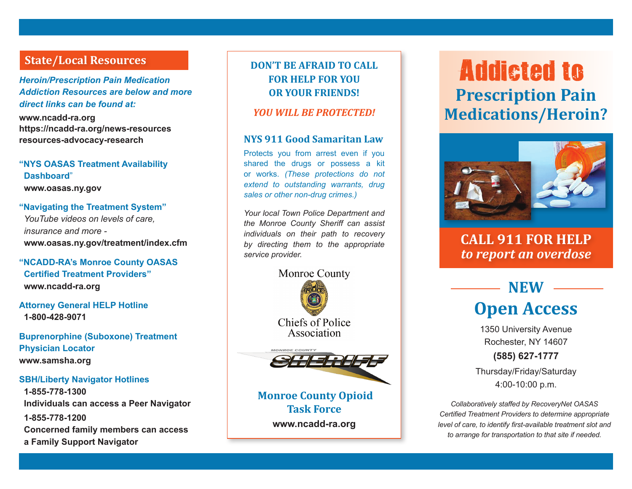### **State/Local Resources DON'T BE AFRAID TO CALL**

*Heroin/Prescription Pain Medication Addiction Resources are below and more direct links can be found at:*

**www.ncadd-ra.org https://ncadd-ra.org/news-resources resources-advocacy-research** 

### **"NYS OASAS Treatment Availability Dashboard**" **www.oasas.ny.gov**

### **"Navigating the Treatment System"** *YouTube videos on levels of care, insurance and more*  **www.oasas.ny.gov/treatment/index.cfm**

**"NCADD-RA's Monroe County OASAS Certified Treatment Providers" www.ncadd-ra.org**

**Attorney General HELP Hotline 1-800-428-9071**

**Buprenorphine (Suboxone) Treatment Physician Locator www.samsha.org**

#### **SBH/Liberty Navigator Hotlines**

**1-855-778-1300 Individuals can access a Peer Navigator 1-855-778-1200 Concerned family members can access a Family Support Navigator**

## **FOR HELP FOR YOU OR YOUR FRIENDS!**

#### *YOU WILL BE PROTECTED!*

### **NYS 911 Good Samaritan Law**

Protects you from arrest even if you shared the drugs or possess a kit or works. *(These protections do not extend to outstanding warrants, drug sales or other non-drug crimes.)*

*Your local Town Police Department and the Monroe County Sheriff can assist individuals on their path to recovery by directing them to the appropriate service provider.*



Chiefs of Police Association



**Monroe County Opioid Task Force www.ncadd-ra.org** 

# **Prescription Pain Medications/Heroin?** Addicted to



## **CALL 911 FOR HELP**  *to report an overdose*

## **NEW Open Access**

1350 University Avenue Rochester, NY 14607

### **(585) 627-1777**

Thursday/Friday/Saturday 4:00-10:00 p.m.

*Collaboratively staffed by RecoveryNet OASAS Certified Treatment Providers to determine appropriate level of care, to identify first-available treatment slot and to arrange for transportation to that site if needed.*